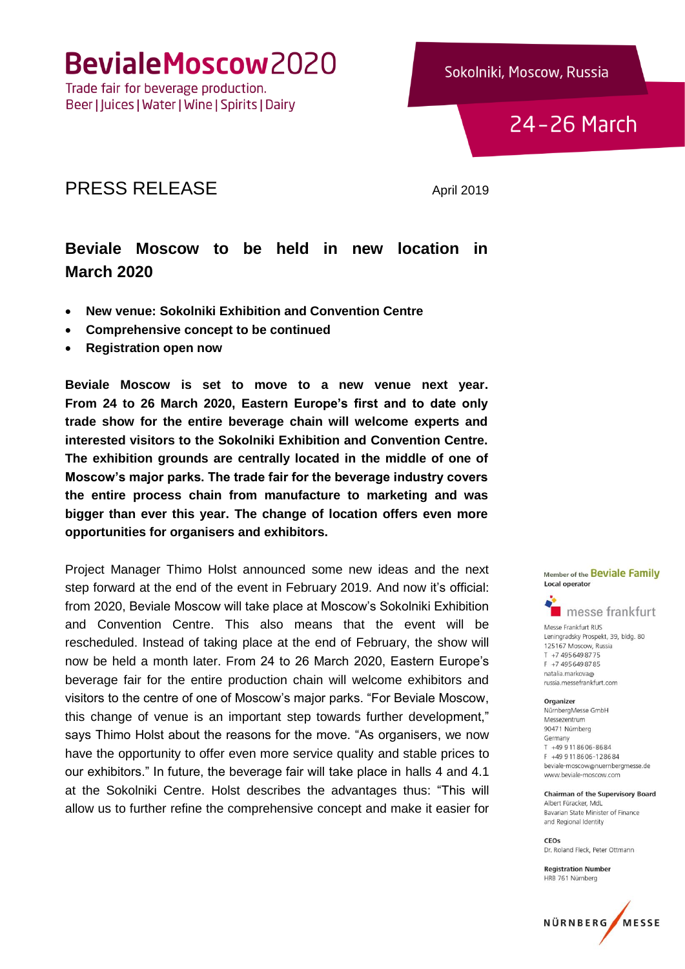Trade fair for beverage production. Beer | Juices | Water | Wine | Spirits | Dairy



24-26 March

### PRESS RELEASE April 2019

### **Beviale Moscow to be held in new location in March 2020**

- **New venue: Sokolniki Exhibition and Convention Centre**
- **Comprehensive concept to be continued**
- **Registration open now**

**Beviale Moscow is set to move to a new venue next year. From 24 to 26 March 2020, Eastern Europe's first and to date only trade show for the entire beverage chain will welcome experts and interested visitors to the Sokolniki Exhibition and Convention Centre. The exhibition grounds are centrally located in the middle of one of Moscow's major parks. The trade fair for the beverage industry covers the entire process chain from manufacture to marketing and was bigger than ever this year. The change of location offers even more opportunities for organisers and exhibitors.**

Project Manager Thimo Holst announced some new ideas and the next step forward at the end of the event in February 2019. And now it's official: from 2020, Beviale Moscow will take place at Moscow's Sokolniki Exhibition and Convention Centre. This also means that the event will be rescheduled. Instead of taking place at the end of February, the show will now be held a month later. From 24 to 26 March 2020, Eastern Europe's beverage fair for the entire production chain will welcome exhibitors and visitors to the centre of one of Moscow's major parks. "For Beviale Moscow, this change of venue is an important step towards further development," says Thimo Holst about the reasons for the move. "As organisers, we now have the opportunity to offer even more service quality and stable prices to our exhibitors." In future, the beverage fair will take place in halls 4 and 4.1 at the Sokolniki Centre. Holst describes the advantages thus: "This will allow us to further refine the comprehensive concept and make it easier for





Messe Frankfurt RUS Leningradsky Prospekt, 39, bldg. 80 125167 Moscow, Russia T +7 495 649 8775 F +7 495 649 87 85 natalia markova@ russia.messefrankfurt.com

#### Organizer

NürnbergMesse GmbH Messezentrum 90471 Nürnberg Germany T +49 9 11 86 06-86 84 F +49 9 11 86 06 - 12 86 84 beviale-moscow@nuernbergmesse.de www.beviale-moscow.com

**Chairman of the Supervisory Board** Albert Füracker, MdL Bayarian State Minister of Finance and Regional Identity

CEOs Dr. Roland Fleck, Peter Ottmann

**Registration Number** HRB 761 Nürnberg

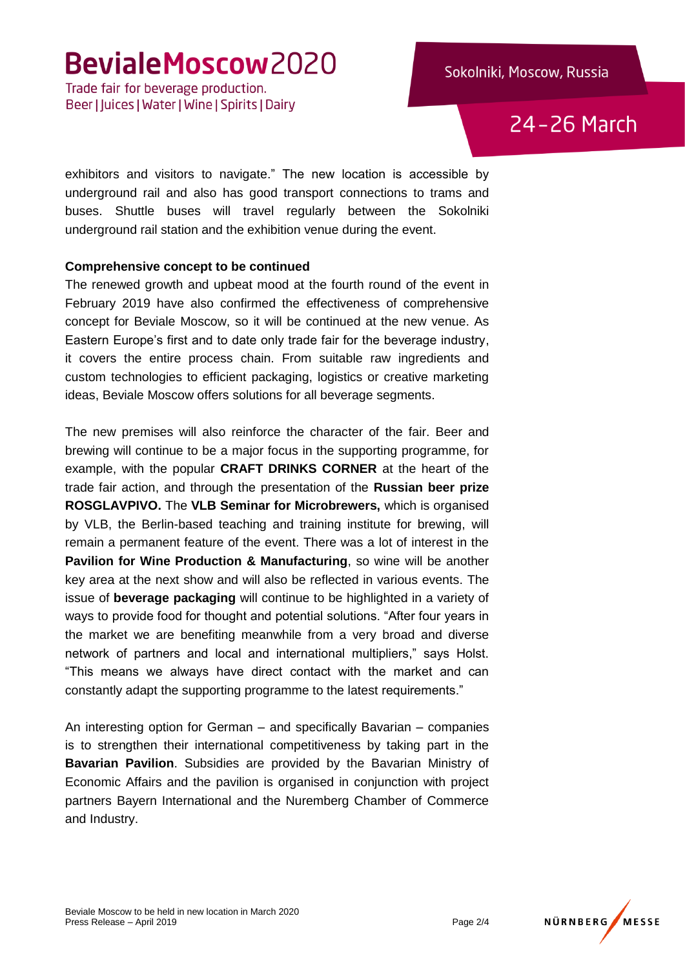Trade fair for beverage production. Beer | Juices | Water | Wine | Spirits | Dairy

24-26 March

exhibitors and visitors to navigate." The new location is accessible by underground rail and also has good transport connections to trams and buses. Shuttle buses will travel regularly between the Sokolniki underground rail station and the exhibition venue during the event.

#### **Comprehensive concept to be continued**

The renewed growth and upbeat mood at the fourth round of the event in February 2019 have also confirmed the effectiveness of comprehensive concept for Beviale Moscow, so it will be continued at the new venue. As Eastern Europe's first and to date only trade fair for the beverage industry, it covers the entire process chain. From suitable raw ingredients and custom technologies to efficient packaging, logistics or creative marketing ideas, Beviale Moscow offers solutions for all beverage segments.

The new premises will also reinforce the character of the fair. Beer and brewing will continue to be a major focus in the supporting programme, for example, with the popular **CRAFT DRINKS CORNER** at the heart of the trade fair action, and through the presentation of the **Russian beer prize ROSGLAVPIVO.** The **VLB Seminar for Microbrewers,** which is organised by VLB, the Berlin-based teaching and training institute for brewing, will remain a permanent feature of the event. There was a lot of interest in the **Pavilion for Wine Production & Manufacturing**, so wine will be another key area at the next show and will also be reflected in various events. The issue of **beverage packaging** will continue to be highlighted in a variety of ways to provide food for thought and potential solutions. "After four years in the market we are benefiting meanwhile from a very broad and diverse network of partners and local and international multipliers," says Holst. "This means we always have direct contact with the market and can constantly adapt the supporting programme to the latest requirements."

An interesting option for German – and specifically Bavarian – companies is to strengthen their international competitiveness by taking part in the **Bavarian Pavilion**. Subsidies are provided by the Bavarian Ministry of Economic Affairs and the pavilion is organised in conjunction with project partners Bayern International and the Nuremberg Chamber of Commerce and Industry.

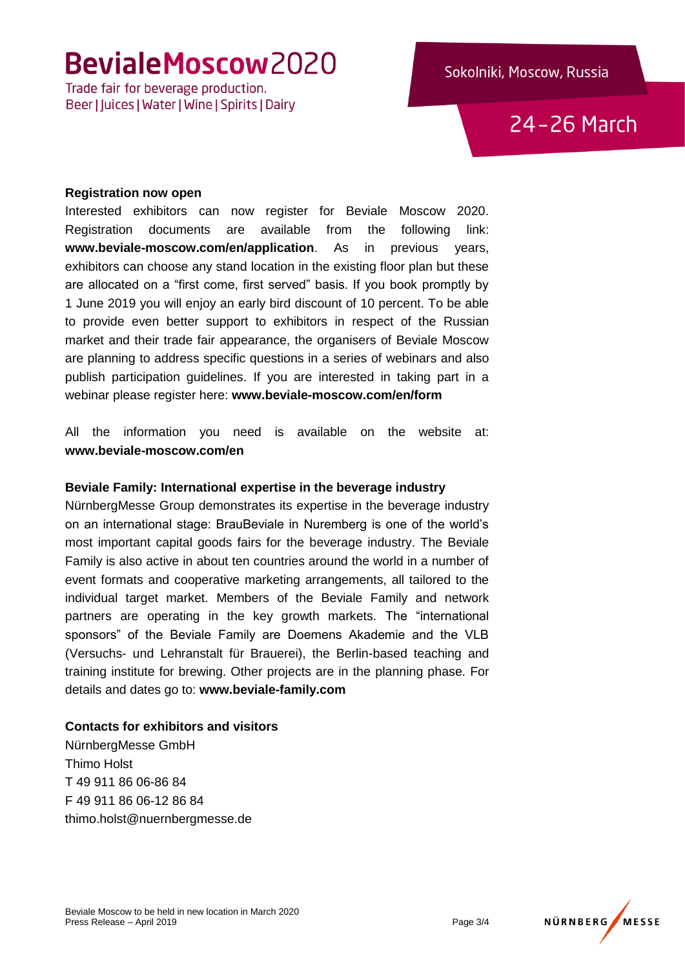Trade fair for beverage production. Beer | Juices | Water | Wine | Spirits | Dairy

24-26 March

#### **Registration now open**

Interested exhibitors can now register for Beviale Moscow 2020. Registration documents are available from the following link: **www.beviale-moscow.com/en/application**. As in previous years, exhibitors can choose any stand location in the existing floor plan but these are allocated on a "first come, first served" basis. If you book promptly by 1 June 2019 you will enjoy an early bird discount of 10 percent. To be able to provide even better support to exhibitors in respect of the Russian market and their trade fair appearance, the organisers of Beviale Moscow are planning to address specific questions in a series of webinars and also publish participation guidelines. If you are interested in taking part in a webinar please register here: **www.beviale-moscow.com/en/form**

All the information you need is available on the website at: **www.beviale-moscow.com/en**

#### **Beviale Family: International expertise in the beverage industry**

NürnbergMesse Group demonstrates its expertise in the beverage industry on an international stage: BrauBeviale in Nuremberg is one of the world's most important capital goods fairs for the beverage industry. The Beviale Family is also active in about ten countries around the world in a number of event formats and cooperative marketing arrangements, all tailored to the individual target market. Members of the Beviale Family and network partners are operating in the key growth markets. The "international sponsors" of the Beviale Family are Doemens Akademie and the VLB (Versuchs- und Lehranstalt für Brauerei), the Berlin-based teaching and training institute for brewing. Other projects are in the planning phase. For details and dates go to: **www.beviale-family.com**

#### **Contacts for exhibitors and visitors**

NürnbergMesse GmbH Thimo Holst T 49 911 86 06-86 84 F 49 911 86 06-12 86 84 thimo.holst@nuernbergmesse.de